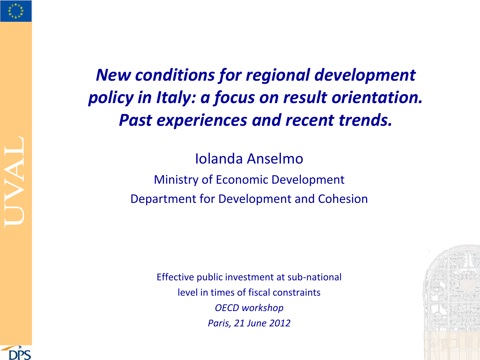

### *New conditions for regional development policy in Italy: a focus on result orientation. Past experiences and recent trends.*

Iolanda Anselmo Ministry of Economic Development Department for Development and Cohesion

> Effective public investment at sub-national level in times of fiscal constraints *OECD workshop Paris, 21 June 2012*



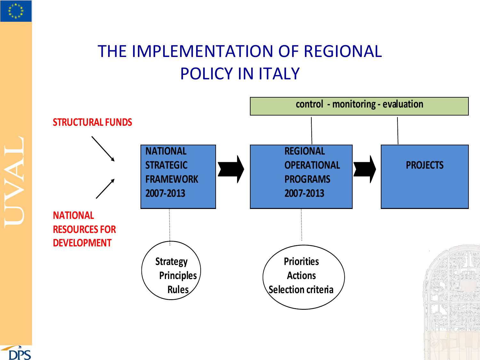

### THE IMPLEMENTATION OF REGIONAL POLICY IN ITALY



**DPS**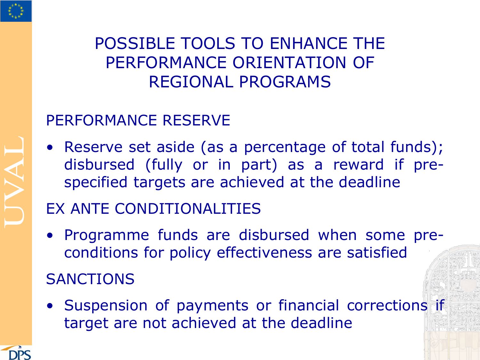

#### POSSIBLE TOOLS TO ENHANCE THE PERFORMANCE ORIENTATION OF REGIONAL PROGRAMS

#### PERFORMANCE RESERVE

• Reserve set aside (as a percentage of total funds); disbursed (fully or in part) as a reward if prespecified targets are achieved at the deadline

#### EX ANTE CONDITIONALITIES

- Programme funds are disbursed when some preconditions for policy effectiveness are satisfied **SANCTIONS**
- Suspension of payments or financial corrections if target are not achieved at the deadline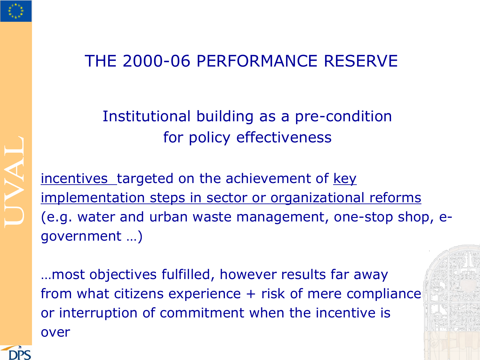

#### THE 2000-06 PERFORMANCE RESERVE

#### Institutional building as a pre-condition for policy effectiveness

incentives targeted on the achievement of key implementation steps in sector or organizational reforms (e.g. water and urban waste management, one-stop shop, egovernment …)

…most objectives fulfilled, however results far away from what citizens experience + risk of mere compliance or interruption of commitment when the incentive is over

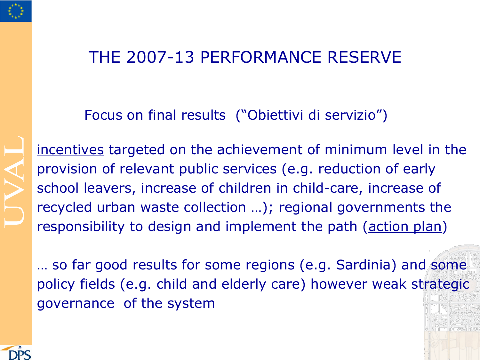

#### THE 2007-13 PERFORMANCE RESERVE

Focus on final results ("Obiettivi di servizio")

incentives targeted on the achievement of minimum level in the provision of relevant public services (e.g. reduction of early school leavers, increase of children in child-care, increase of recycled urban waste collection …); regional governments the responsibility to design and implement the path (action plan)

… so far good results for some regions (e.g. Sardinia) and some policy fields (e.g. child and elderly care) however weak strategic governance of the system

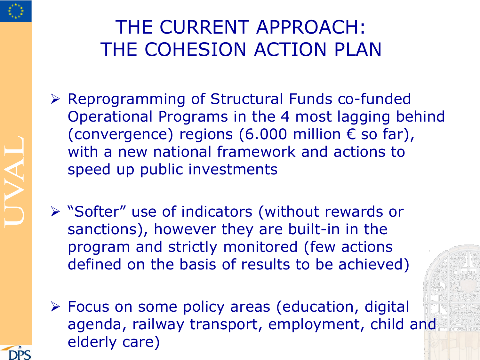

# THE CURRENT APPROACH: THE COHESION ACTION PLAN

- Reprogramming of Structural Funds co-funded Operational Programs in the 4 most lagging behind (convergence) regions (6.000 million  $\epsilon$  so far), with a new national framework and actions to speed up public investments
- "Softer" use of indicators (without rewards or sanctions), however they are built-in in the program and strictly monitored (few actions defined on the basis of results to be achieved)
- Focus on some policy areas (education, digital agenda, railway transport, employment, child and elderly care)

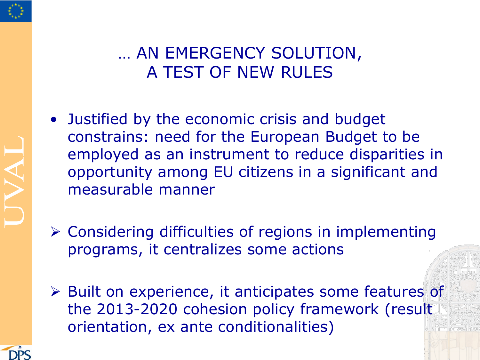#### … AN EMERGENCY SOLUTION, A TEST OF NEW RULES

- Justified by the economic crisis and budget constrains: need for the European Budget to be employed as an instrument to reduce disparities in opportunity among EU citizens in a significant and measurable manner
- Considering difficulties of regions in implementing programs, it centralizes some actions
- ▶ Built on experience, it anticipates some features of the 2013-2020 cohesion policy framework (result orientation, ex ante conditionalities)



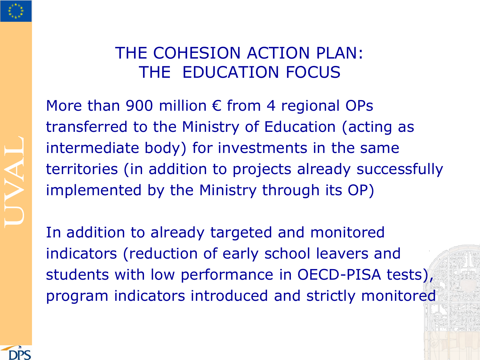

#### THE COHESION ACTION PLAN: THE EDUCATION FOCUS

More than 900 million  $\epsilon$  from 4 regional OPs transferred to the Ministry of Education (acting as intermediate body) for investments in the same territories (in addition to projects already successfully implemented by the Ministry through its OP)

In addition to already targeted and monitored indicators (reduction of early school leavers and students with low performance in OECD-PISA tests), program indicators introduced and strictly monitored

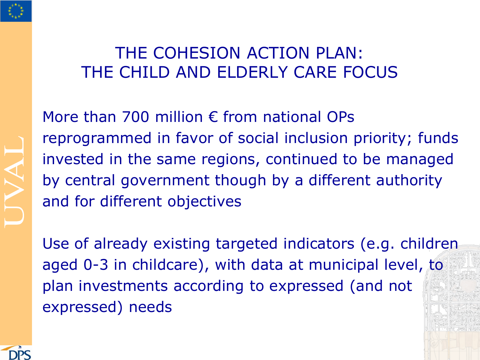

#### THE COHESION ACTION PLAN: THE CHILD AND ELDERLY CARE FOCUS

More than 700 million € from national OPs reprogrammed in favor of social inclusion priority; funds invested in the same regions, continued to be managed by central government though by a different authority and for different objectives

Use of already existing targeted indicators (e.g. children aged 0-3 in childcare), with data at municipal level, to plan investments according to expressed (and not expressed) needs

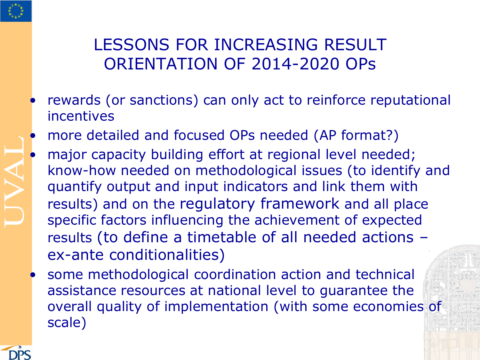

#### LESSONS FOR INCREASING RESULT ORIENTATION OF 2014-2020 OPs

- rewards (or sanctions) can only act to reinforce reputational incentives
- more detailed and focused OPs needed (AP format?)
- major capacity building effort at regional level needed; know-how needed on methodological issues (to identify and quantify output and input indicators and link them with results) and on the regulatory framework and all place specific factors influencing the achievement of expected results (to define a timetable of all needed actions – ex-ante conditionalities)
	- some methodological coordination action and technical assistance resources at national level to guarantee the overall quality of implementation (with some economies of scale)

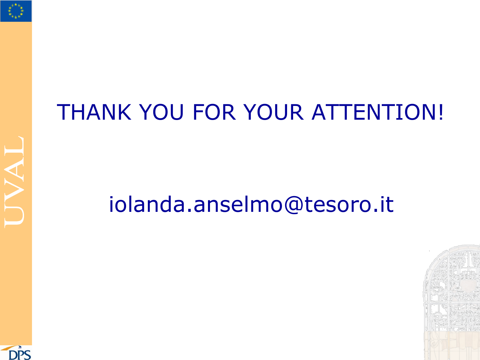

# THANK YOU FOR YOUR ATTENTION!

# iolanda.anselmo@tesoro.it



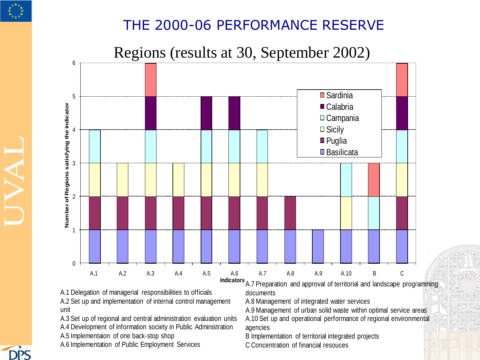

**DDC** 

#### THE 2000-06 PERFORMANCE RESERVE

Regions (results at 30, September 2002)



A.1 Delegation of managerial responsibilities to officials A.2 Set up and implementation of internal control management unit

A.3 Set up of regional and central administration evaluation units A.4 Development of information society in Public Administration

A.5 Implementaion of one back-stop shop

A.6 Implementation of Public Employment Services

**Indicators** A.7 Preparation and approval of territorial and landscape programming documents

A.8 Management of integrated water services

A.9 Management of urban solid waste within optimal service areas

A.10 Set up and operational performance of regional environmental agencies

B Implementation of territorial integrated projects

C Concentration of financial resouces